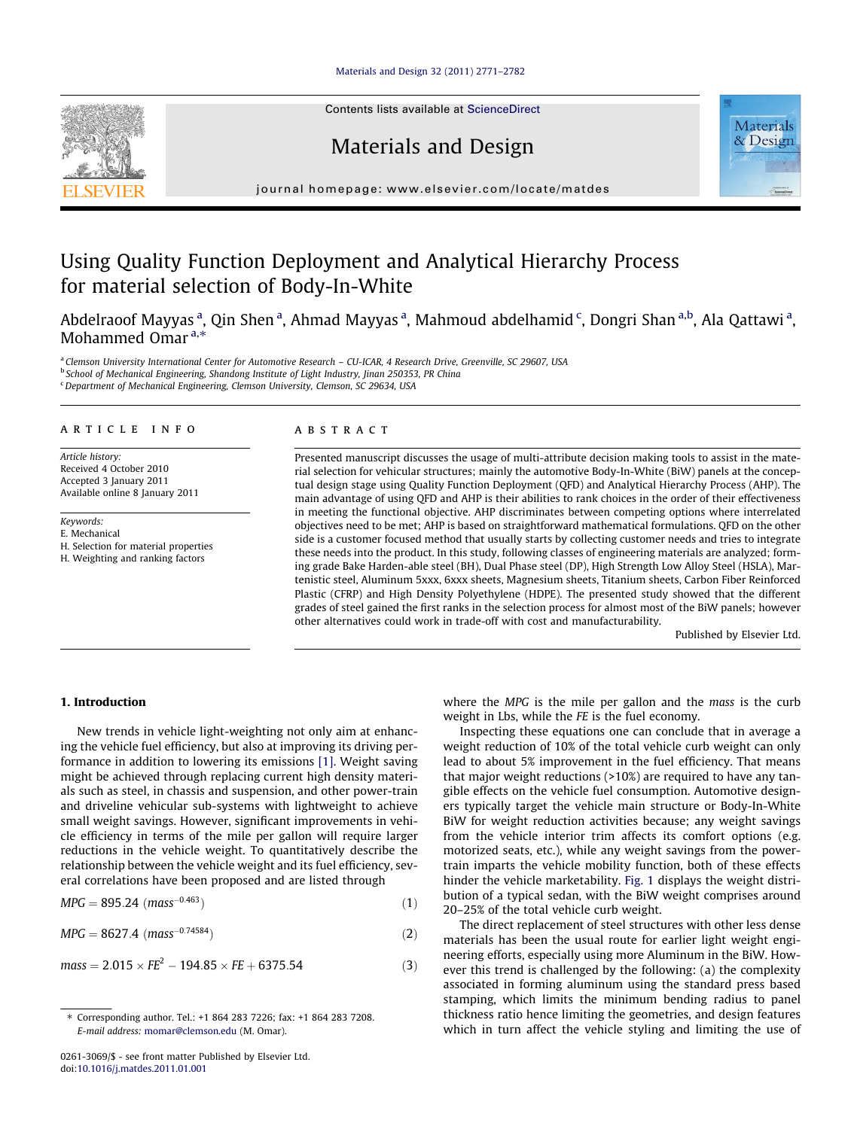## [Materials and Design 32 \(2011\) 2771–2782](http://dx.doi.org/10.1016/j.matdes.2011.01.001)



Contents lists available at [ScienceDirect](http://www.sciencedirect.com/science/journal/02613069)

# Materials and Design



journal homepage: [www.elsevier.com/locate/matdes](http://www.elsevier.com/locate/matdes)

# Using Quality Function Deployment and Analytical Hierarchy Process for material selection of Body-In-White

Abdelraoof Mayyas <sup>a</sup>, Qin Shen <sup>a</sup>, Ahmad Mayyas <sup>a</sup>, Mahmoud abdelhamid <sup>c</sup>, Dongri Shan <sup>a,b</sup>, Ala Qattawi <sup>a</sup>, Mohammed Omar $a,*$ 

<sup>a</sup> Clemson University International Center for Automotive Research – CU-ICAR, 4 Research Drive, Greenville, SC 29607, USA <sup>b</sup> School of Mechanical Engineering, Shandong Institute of Light Industry, Jinan 250353, PR China <sup>c</sup>Department of Mechanical Engineering, Clemson University, Clemson, SC 29634, USA

#### article info

Article history: Received 4 October 2010 Accepted 3 January 2011 Available online 8 January 2011

Keywords: E. Mechanical H. Selection for material properties H. Weighting and ranking factors

## **ABSTRACT**

Presented manuscript discusses the usage of multi-attribute decision making tools to assist in the material selection for vehicular structures; mainly the automotive Body-In-White (BiW) panels at the conceptual design stage using Quality Function Deployment (QFD) and Analytical Hierarchy Process (AHP). The main advantage of using QFD and AHP is their abilities to rank choices in the order of their effectiveness in meeting the functional objective. AHP discriminates between competing options where interrelated objectives need to be met; AHP is based on straightforward mathematical formulations. QFD on the other side is a customer focused method that usually starts by collecting customer needs and tries to integrate these needs into the product. In this study, following classes of engineering materials are analyzed; forming grade Bake Harden-able steel (BH), Dual Phase steel (DP), High Strength Low Alloy Steel (HSLA), Martenistic steel, Aluminum 5xxx, 6xxx sheets, Magnesium sheets, Titanium sheets, Carbon Fiber Reinforced Plastic (CFRP) and High Density Polyethylene (HDPE). The presented study showed that the different grades of steel gained the first ranks in the selection process for almost most of the BiW panels; however other alternatives could work in trade-off with cost and manufacturability.

Published by Elsevier Ltd.

### 1. Introduction

New trends in vehicle light-weighting not only aim at enhancing the vehicle fuel efficiency, but also at improving its driving performance in addition to lowering its emissions [\[1\]](#page--1-0). Weight saving might be achieved through replacing current high density materials such as steel, in chassis and suspension, and other power-train and driveline vehicular sub-systems with lightweight to achieve small weight savings. However, significant improvements in vehicle efficiency in terms of the mile per gallon will require larger reductions in the vehicle weight. To quantitatively describe the relationship between the vehicle weight and its fuel efficiency, several correlations have been proposed and are listed through

$$
MPG = 895.24 \ (mass^{-0.463}) \tag{1}
$$

 $MPG = 8627.4 \ (mass^{-0.74584})$  (2)

 $mass = 2.015 \times FE^2 - 194.85 \times FE + 6375.54$  (3)

where the MPG is the mile per gallon and the mass is the curb weight in Lbs, while the FE is the fuel economy.

Inspecting these equations one can conclude that in average a weight reduction of 10% of the total vehicle curb weight can only lead to about 5% improvement in the fuel efficiency. That means that major weight reductions (>10%) are required to have any tangible effects on the vehicle fuel consumption. Automotive designers typically target the vehicle main structure or Body-In-White BiW for weight reduction activities because; any weight savings from the vehicle interior trim affects its comfort options (e.g. motorized seats, etc.), while any weight savings from the powertrain imparts the vehicle mobility function, both of these effects hinder the vehicle marketability. [Fig. 1](#page-1-0) displays the weight distribution of a typical sedan, with the BiW weight comprises around 20–25% of the total vehicle curb weight.

The direct replacement of steel structures with other less dense materials has been the usual route for earlier light weight engineering efforts, especially using more Aluminum in the BiW. However this trend is challenged by the following: (a) the complexity associated in forming aluminum using the standard press based stamping, which limits the minimum bending radius to panel thickness ratio hence limiting the geometries, and design features which in turn affect the vehicle styling and limiting the use of

Corresponding author. Tel.: +1 864 283 7226; fax: +1 864 283 7208. E-mail address: [momar@clemson.edu](mailto:momar@clemson.edu) (M. Omar).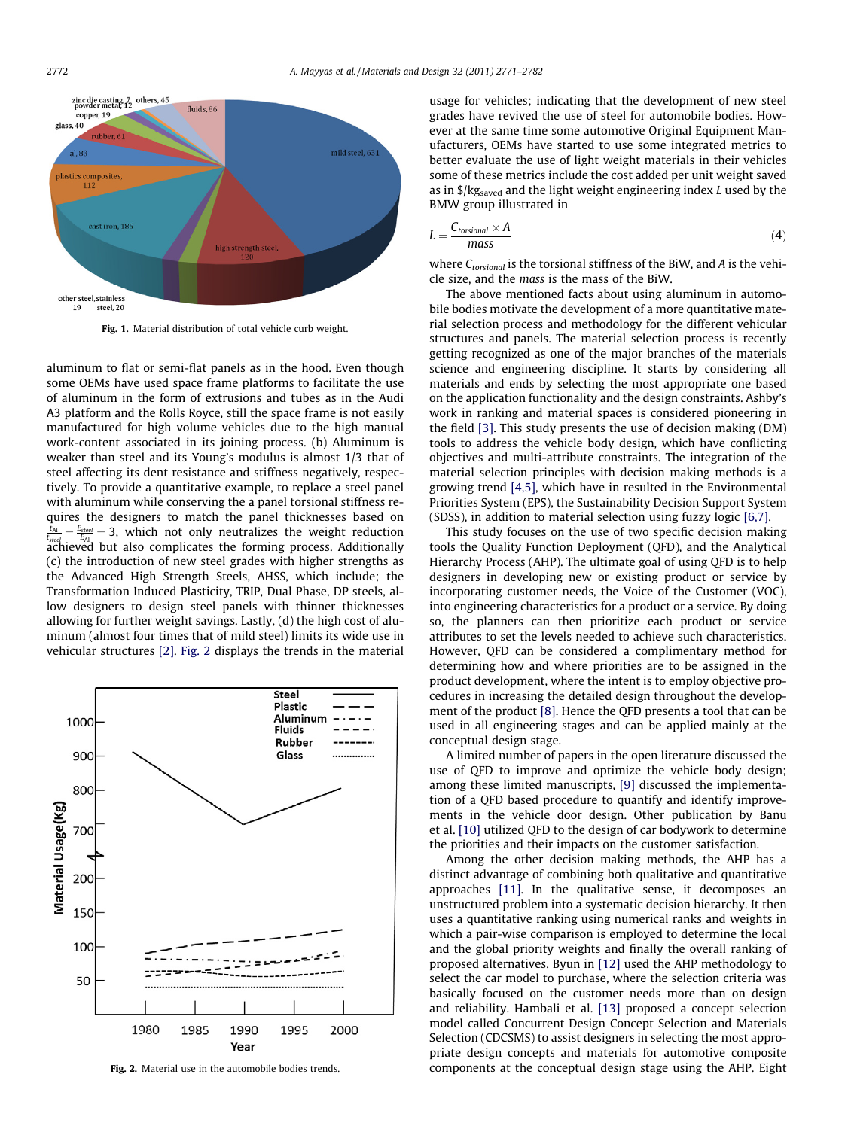<span id="page-1-0"></span>

Fig. 1. Material distribution of total vehicle curb weight.

aluminum to flat or semi-flat panels as in the hood. Even though some OEMs have used space frame platforms to facilitate the use of aluminum in the form of extrusions and tubes as in the Audi A3 platform and the Rolls Royce, still the space frame is not easily manufactured for high volume vehicles due to the high manual work-content associated in its joining process. (b) Aluminum is weaker than steel and its Young's modulus is almost 1/3 that of steel affecting its dent resistance and stiffness negatively, respectively. To provide a quantitative example, to replace a steel panel with aluminum while conserving the a panel torsional stiffness requires the designers to match the panel thicknesses based on  $\frac{t_{\text{Al}}}{t_{\text{stree}}} = \frac{E_{\text{steel}}}{E_{\text{Al}}} = 3$ , which not only neutralizes the weight reduction achieved but also complicates the forming process. Additionally (c) the introduction of new steel grades with higher strengths as the Advanced High Strength Steels, AHSS, which include; the Transformation Induced Plasticity, TRIP, Dual Phase, DP steels, allow designers to design steel panels with thinner thicknesses allowing for further weight savings. Lastly, (d) the high cost of aluminum (almost four times that of mild steel) limits its wide use in vehicular structures [\[2\]](#page--1-0). Fig. 2 displays the trends in the material



Fig. 2. Material use in the automobile bodies trends.

usage for vehicles; indicating that the development of new steel grades have revived the use of steel for automobile bodies. However at the same time some automotive Original Equipment Manufacturers, OEMs have started to use some integrated metrics to better evaluate the use of light weight materials in their vehicles some of these metrics include the cost added per unit weight saved as in  $\frac{S}{Kg}$ <sub>saved</sub> and the light weight engineering index *L* used by the BMW group illustrated in

$$
L = \frac{C_{\text{torional}} \times A}{\text{mass}} \tag{4}
$$

where  $C_{torsional}$  is the torsional stiffness of the BiW, and A is the vehicle size, and the mass is the mass of the BiW.

The above mentioned facts about using aluminum in automobile bodies motivate the development of a more quantitative material selection process and methodology for the different vehicular structures and panels. The material selection process is recently getting recognized as one of the major branches of the materials science and engineering discipline. It starts by considering all materials and ends by selecting the most appropriate one based on the application functionality and the design constraints. Ashby's work in ranking and material spaces is considered pioneering in the field [\[3\].](#page--1-0) This study presents the use of decision making (DM) tools to address the vehicle body design, which have conflicting objectives and multi-attribute constraints. The integration of the material selection principles with decision making methods is a growing trend [\[4,5\]](#page--1-0), which have in resulted in the Environmental Priorities System (EPS), the Sustainability Decision Support System (SDSS), in addition to material selection using fuzzy logic [\[6,7\].](#page--1-0)

This study focuses on the use of two specific decision making tools the Quality Function Deployment (QFD), and the Analytical Hierarchy Process (AHP). The ultimate goal of using QFD is to help designers in developing new or existing product or service by incorporating customer needs, the Voice of the Customer (VOC), into engineering characteristics for a product or a service. By doing so, the planners can then prioritize each product or service attributes to set the levels needed to achieve such characteristics. However, QFD can be considered a complimentary method for determining how and where priorities are to be assigned in the product development, where the intent is to employ objective procedures in increasing the detailed design throughout the development of the product [\[8\]](#page--1-0). Hence the QFD presents a tool that can be used in all engineering stages and can be applied mainly at the conceptual design stage.

A limited number of papers in the open literature discussed the use of QFD to improve and optimize the vehicle body design; among these limited manuscripts, [\[9\]](#page--1-0) discussed the implementation of a QFD based procedure to quantify and identify improvements in the vehicle door design. Other publication by Banu et al. [\[10\]](#page--1-0) utilized QFD to the design of car bodywork to determine the priorities and their impacts on the customer satisfaction.

Among the other decision making methods, the AHP has a distinct advantage of combining both qualitative and quantitative approaches [\[11\].](#page--1-0) In the qualitative sense, it decomposes an unstructured problem into a systematic decision hierarchy. It then uses a quantitative ranking using numerical ranks and weights in which a pair-wise comparison is employed to determine the local and the global priority weights and finally the overall ranking of proposed alternatives. Byun in [\[12\]](#page--1-0) used the AHP methodology to select the car model to purchase, where the selection criteria was basically focused on the customer needs more than on design and reliability. Hambali et al. [\[13\]](#page--1-0) proposed a concept selection model called Concurrent Design Concept Selection and Materials Selection (CDCSMS) to assist designers in selecting the most appropriate design concepts and materials for automotive composite components at the conceptual design stage using the AHP. Eight